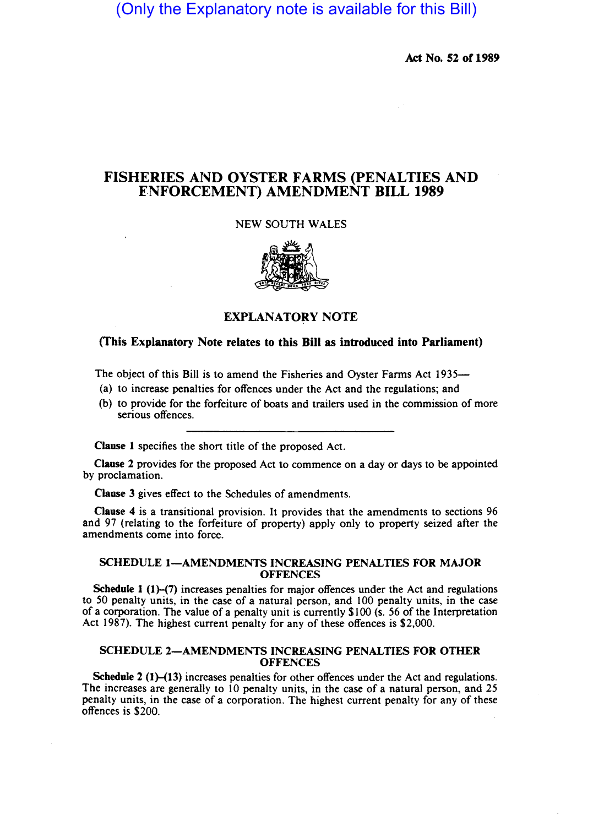(Only the Explanatory note is available for this Bill)

Act No. 52 of 1989

# FISHERIES AND OYSTER FARMS (PENALTIES AND ENFORCEMENT) AMENDMENT BILL 1989

### NEW SOUTH WALES



# EXPLANATORY NOTE

## (This Explanatory Note relates to this Bill as introduced into Parliament)

The object of this Bill is to amend the Fisheries and Oyster Farms Act 1935—

- (a) to increase penalties for offences under the Act and the regulations; and
- (b) to provide for the forfeiture of boats and trailers used in the commission of more serious offences.

Clause I specifies the short title of the proposed Act.

Clause 2 provides for the proposed Act to commence on a day or days to be appointed by proclamation.

Clause 3 gives effect to the Schedules of amendments.

Clause 4 is a transitional provision. It provides that the amendments to sections 96 and 97 (relating to the forfeiture of property) apply only to property seized after the amendments come into force.

### SCHEDULE 1-AMENDMENTS INCREASING PENALTIES FOR MAJOR **OFFENCES**

Schedule 1 (1)–(7) increases penalties for major offences under the Act and regulations to 50 penalty units, in the case of a natural person, and 100 penalty units, in the case of a corporation. The value of a penalty unit is currently \$100 (s. 56 of the Interpretation Act 1987). The highest current penalty for any of these offences is \$2,000.

#### SCHEDULE 2-AMENDMENTS INCREASING PENALTIES FOR OTHER **OFFENCES**

Schedule  $2(1)-(13)$  increases penalties for other offences under the Act and regulations. The increases are generally to 10 penalty units, in the case of a natural person, and 25 penalty units, in the case of a corporation. The highest current penalty for any of these offences is \$200.